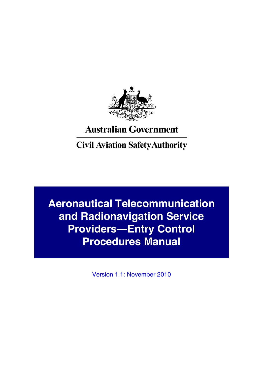<span id="page-0-0"></span>

# **Australian Government**

# **Civil Aviation Safety Authority**

**Aeronautical Telecommunication and Radionavigation Service Providers—Entry Control Procedures Manual** 

Version 1.1: November 2010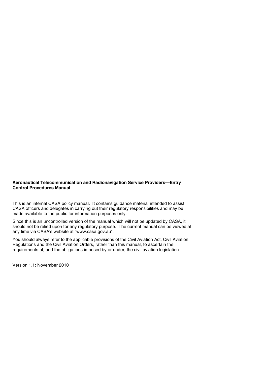#### **Aeronautical Telecommunication and Radionavigation Service Providers—Entry Control Procedures Manual**

This is an internal CASA policy manual. It contains guidance material intended to assist CASA officers and delegates in carrying out their regulatory responsibilities and may be made available to the public for information purposes only.

Since this is an uncontrolled version of the manual which will not be updated by CASA, it should not be relied upon for any regulatory purpose. The current manual can be viewed at any time via CASA's website at "www.casa.gov.au".

You should always refer to the applicable provisions of the Civil Aviation Act, Civil Aviation Regulations and the Civil Aviation Orders, rather than this manual, to ascertain the requirements of, and the obligations imposed by or under, the civil aviation legislation.

Version 1.1: November 2010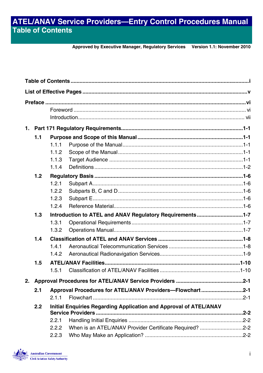## **ATEL/ANAV Service Providers-Entry Control Procedures Manual** Table of Contents

Approved by Executive Manager, Regulatory Services Version 1.1: November 2010

| 1.                                                                       |  |
|--------------------------------------------------------------------------|--|
| 1.1                                                                      |  |
| 1.1.1                                                                    |  |
| 1.1.2                                                                    |  |
| 1.1.3                                                                    |  |
| 1.1.4                                                                    |  |
| 1.2                                                                      |  |
| 1.2.1                                                                    |  |
| 1.2.2                                                                    |  |
| 1.2.3                                                                    |  |
| 1.2.4                                                                    |  |
| 1.3<br>Introduction to ATEL and ANAV Regulatory Requirements1-7          |  |
| 1.3.1                                                                    |  |
| 1.3.2                                                                    |  |
| 1.4                                                                      |  |
| 1.4.1                                                                    |  |
| 1.4.2                                                                    |  |
| 1.5                                                                      |  |
| 1.5.1                                                                    |  |
| 2.                                                                       |  |
| Approval Procedures for ATEL/ANAV Providers-Flowchart2-1<br>2.1          |  |
| 2.1.1                                                                    |  |
| 2.2<br>Initial Enquiries Regarding Application and Approval of ATEL/ANAV |  |
| 2.2.1                                                                    |  |
| When is an ATEL/ANAV Provider Certificate Required? 2-2<br>2.2.2         |  |
| 2.2.3                                                                    |  |

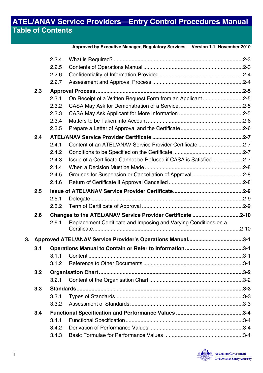# **ATEL/ANAV Service Providers—Entry Control Procedures Manual Table of Contents**

|    |     |       | Approved by Executive Manager, Regulatory Services Version 1.1: November 2010 |  |
|----|-----|-------|-------------------------------------------------------------------------------|--|
|    |     | 2.2.4 |                                                                               |  |
|    |     | 2.2.5 |                                                                               |  |
|    |     | 2.2.6 |                                                                               |  |
|    |     | 2.2.7 |                                                                               |  |
|    | 2.3 |       |                                                                               |  |
|    |     | 2.3.1 | On Receipt of a Written Request Form from an Applicant2-5                     |  |
|    |     | 2.3.2 |                                                                               |  |
|    |     | 2.3.3 |                                                                               |  |
|    |     | 2.3.4 |                                                                               |  |
|    |     | 2.3.5 |                                                                               |  |
|    | 2.4 |       |                                                                               |  |
|    |     | 2.4.1 | Content of an ATEL/ANAV Service Provider Certificate 2-7                      |  |
|    |     | 2.4.2 |                                                                               |  |
|    |     | 2.4.3 | Issue of a Certificate Cannot be Refused if CASA is Satisfied2-7              |  |
|    |     | 2.4.4 |                                                                               |  |
|    |     | 2.4.5 | Grounds for Suspension or Cancellation of Approval 2-8                        |  |
|    |     | 2.4.6 |                                                                               |  |
|    | 2.5 |       |                                                                               |  |
|    |     | 2.5.1 |                                                                               |  |
|    |     | 2.5.2 |                                                                               |  |
|    | 2.6 |       | Changes to the ATEL/ANAV Service Provider Certificate 2-10                    |  |
|    |     | 2.6.1 | Replacement Certificate and Imposing and Varying Conditions on a              |  |
|    |     |       |                                                                               |  |
| 3. |     |       |                                                                               |  |
|    | 3.1 |       |                                                                               |  |
|    |     | 3.1.1 |                                                                               |  |
|    |     | 3.1.2 |                                                                               |  |
|    | 3.2 |       |                                                                               |  |
|    |     | 3.2.1 |                                                                               |  |
|    | 3.3 |       |                                                                               |  |
|    |     | 3.3.1 |                                                                               |  |
|    |     | 3.3.2 |                                                                               |  |
|    | 3.4 |       |                                                                               |  |
|    |     | 3.4.1 |                                                                               |  |
|    |     | 3.4.2 |                                                                               |  |
|    |     | 3.4.3 |                                                                               |  |

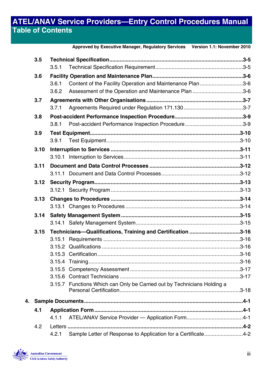### **ATEL/ANAV Service Providers—Entry Control Procedures Manual Table of Contents**

|    |      |       | Approved by Executive Manager, Regulatory Services Version 1.1: November 2010 |  |
|----|------|-------|-------------------------------------------------------------------------------|--|
|    | 3.5  |       |                                                                               |  |
|    |      | 3.5.1 |                                                                               |  |
|    | 3.6  |       |                                                                               |  |
|    |      | 3.6.1 | Content of the Facility Operation and Maintenance Plan 3-6                    |  |
|    |      | 3.6.2 | Assessment of the Operation and Maintenance Plan 3-6                          |  |
|    | 3.7  |       |                                                                               |  |
|    |      | 3.7.1 |                                                                               |  |
|    | 3.8  |       |                                                                               |  |
|    |      | 3.8.1 |                                                                               |  |
|    | 3.9  |       |                                                                               |  |
|    |      | 3.9.1 |                                                                               |  |
|    | 3.10 |       |                                                                               |  |
|    |      |       |                                                                               |  |
|    | 3.11 |       |                                                                               |  |
|    |      |       |                                                                               |  |
|    |      |       |                                                                               |  |
|    |      |       |                                                                               |  |
|    | 3.13 |       |                                                                               |  |
|    |      |       |                                                                               |  |
|    | 3.14 |       |                                                                               |  |
|    |      |       |                                                                               |  |
|    | 3.15 |       | Technicians-Qualifications, Training and Certification 3-16                   |  |
|    |      |       |                                                                               |  |
|    |      |       |                                                                               |  |
|    |      |       |                                                                               |  |
|    |      |       |                                                                               |  |
|    |      |       |                                                                               |  |
|    |      |       |                                                                               |  |
|    |      |       | 3.15.7 Functions Which can Only be Carried out by Technicians Holding a       |  |
| 4. |      |       |                                                                               |  |
|    | 4.1  |       |                                                                               |  |
|    |      | 4.1.1 |                                                                               |  |
|    | 4.2  |       |                                                                               |  |
|    |      | 4.2.1 | Sample Letter of Response to Application for a Certificate4-2                 |  |

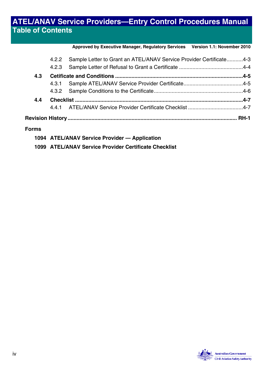### **ATEL/ANAV Service Providers—Entry Control Procedures Manual Table of Contents**

|              |       | Approved by Executive Manager, Regulatory Services Version 1.1: November 2010 |  |
|--------------|-------|-------------------------------------------------------------------------------|--|
|              | 4.2.2 | Sample Letter to Grant an ATEL/ANAV Service Provider Certificate4-3           |  |
|              | 4.2.3 |                                                                               |  |
| 4.3          |       |                                                                               |  |
|              | 4.3.1 |                                                                               |  |
|              |       |                                                                               |  |
| 4.4          |       |                                                                               |  |
|              |       | 4.4.1 ATEL/ANAV Service Provider Certificate Checklist 4-7                    |  |
|              |       |                                                                               |  |
| <b>Forms</b> |       |                                                                               |  |

- **1094 ATEL/ANAV Service Provider Application**
- **1099 ATEL/ANAV Service Provider Certificate Checklist**

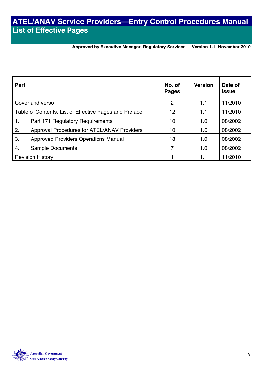# **ATEL/ANAV Service Providers—Entry Control Procedures Manual List of Effective Pages**

#### **Approved by Executive Manager, Regulatory Services Version 1.1: November 2010**

| Part                                                   | No. of<br><b>Pages</b> | <b>Version</b> | Date of<br><b>Issue</b> |
|--------------------------------------------------------|------------------------|----------------|-------------------------|
| Cover and verso                                        | 2                      | 1.1            | 11/2010                 |
| Table of Contents, List of Effective Pages and Preface | 12                     | 1.1            | 11/2010                 |
| Part 171 Regulatory Requirements<br>1.                 | 10                     | 1.0            | 08/2002                 |
| Approval Procedures for ATEL/ANAV Providers<br>2.      | 10                     | 1.0            | 08/2002                 |
| 3.<br><b>Approved Providers Operations Manual</b>      | 18                     | 1.0            | 08/2002                 |
| 4.<br><b>Sample Documents</b>                          | 7                      | 1.0            | 08/2002                 |
| <b>Revision History</b>                                |                        | 1.1            | 11/2010                 |

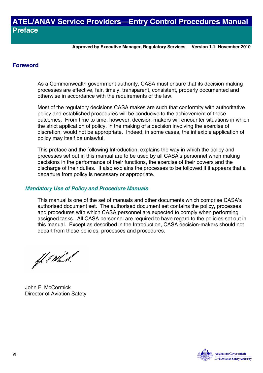**Approved by Executive Manager, Regulatory Services Version 1.1: November 2010** 

#### **Foreword**

As a Commonwealth government authority, CASA must ensure that its decision-making processes are effective, fair, timely, transparent, consistent, properly documented and otherwise in accordance with the requirements of the law.

Most of the regulatory decisions CASA makes are such that conformity with authoritative policy and established procedures will be conducive to the achievement of these outcomes. From time to time, however, decision-makers will encounter situations in which the strict application of policy, in the making of a decision involving the exercise of discretion, would not be appropriate. Indeed, in some cases, the inflexible application of policy may itself be unlawful.

This preface and the following Introduction, explains the way in which the policy and processes set out in this manual are to be used by all CASA's personnel when making decisions in the performance of their functions, the exercise of their powers and the discharge of their duties. It also explains the processes to be followed if it appears that a departure from policy is necessary or appropriate.

#### *Mandatory Use of Policy and Procedure Manuals*

This manual is one of the set of manuals and other documents which comprise CASA's authorised document set. The authorised document set contains the policy, processes and procedures with which CASA personnel are expected to comply when performing assigned tasks. All CASA personnel are required to have regard to the policies set out in this manual. Except as described in the Introduction, CASA decision-makers should not depart from these policies, processes and procedures.

ff 1 Mil.

John F. McCormick Director of Aviation Safety

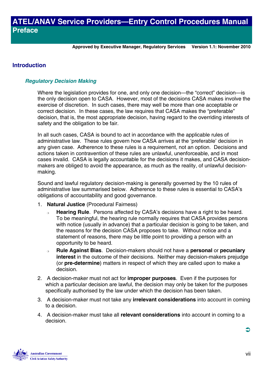**Approved by Executive Manager, Regulatory Services Version 1.1: November 2010** 

### **Introduction**

#### *Regulatory Decision Making*

Where the legislation provides for one, and only one decision—the "correct" decision—is the only decision open to CASA. However, most of the decisions CASA makes involve the exercise of discretion. In such cases, there may well be more than one acceptable or correct decision. In these cases, the law requires that CASA makes the "preferable" decision, that is, the most appropriate decision, having regard to the overriding interests of safety and the obligation to be fair.

In all such cases, CASA is bound to act in accordance with the applicable rules of administrative law. These rules govern how CASA arrives at the 'preferable' decision in any given case. Adherence to these rules is a requirement, not an option. Decisions and actions taken in contravention of these rules are unlawful, unenforceable, and in most cases invalid. CASA is legally accountable for the decisions it makes, and CASA decisionmakers are obliged to avoid the appearance, as much as the reality, of unlawful decisionmaking.

Sound and lawful regulatory decision-making is generally governed by the 10 rules of administrative law summarised below. Adherence to these rules is essential to CASA's obligations of accountability and good governance.

- 1. **Natural Justice** (Procedural Fairness)
	- **Hearing Rule**. Persons affected by CASA's decisions have a right to be heard. To be meaningful, the hearing rule normally requires that CASA provides persons with notice (usually in advance) that a particular decision is going to be taken, and the reasons for the decision CASA proposes to take. Without notice and a statement of reasons, there may be little point to providing a person with an opportunity to be heard.
	- **Rule Against Bias**. Decision-makers should not have a **personal** or **pecuniary interest** in the outcome of their decisions. Neither may decision-makers prejudge (or **pre-determine**) matters in respect of which they are called upon to make a decision.
- 2. A decision-maker must not act for **improper purposes**. Even if the purposes for which a particular decision are lawful, the decision may only be taken for the purposes specifically authorised by the law under which the decision has been taken.
- 3. A decision-maker must not take any **irrelevant considerations** into account in coming to a decision.
- 4. A decision-maker must take all **relevant considerations** into account in coming to a decision.



 $\bullet$ 

vii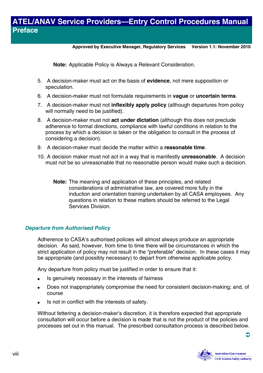**Approved by Executive Manager, Regulatory Services Version 1.1: November 2010** 

**Note:** Applicable Policy is Always a Relevant Consideration.

- 5. A decision-maker must act on the basis of **evidence**, not mere supposition or speculation.
- 6. A decision-maker must not formulate requirements in **vague** or **uncertain terms**.
- 7. A decision-maker must not **inflexibly apply policy** (although departures from policy will normally need to be justified).
- 8. A decision-maker must not **act under dictation** (although this does not preclude adherence to formal directions, compliance with lawful conditions in relation to the process by which a decision is taken or the obligation to consult in the process of considering a decision).
- 9. A decision-maker must decide the matter within a **reasonable time**.
- 10. A decision maker must not act in a way that is manifestly **unreasonable**. A decision must not be so unreasonable that no reasonable person would make such a decision.
	- **Note:** The meaning and application of these principles, and related considerations of administrative law, are covered more fully in the induction and orientation training undertaken by all CASA employees. Any questions in relation to these matters should be referred to the Legal Services Division.

#### *Departure from Authorised Policy*

Adherence to CASA's authorised policies will almost always produce an appropriate decision. As said, however, from time to time there will be circumstances in which the strict application of policy may not result in the "preferable" decision. In these cases it may be appropriate (and possibly necessary) to depart from otherwise applicable policy.

Any departure from policy must be justified in order to ensure that it:

- Is genuinely necessary in the interests of fairness
- Does not inappropriately compromise the need for consistent decision-making; and, of course
- Is not in conflict with the interests of safety.

Without fettering a decision-maker's discretion, it is therefore expected that appropriate consultation will occur before a decision is made that is not the product of the policies and processes set out in this manual. The prescribed consultation process is described below.



 $\bullet$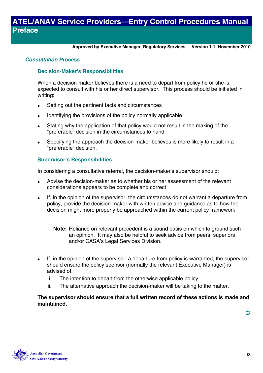**Approved by Executive Manager, Regulatory Services Version 1.1: November 2010** 

#### *Consultation Process*

#### **Decision-Maker's Responsibilities**

When a decision-maker believes there is a need to depart from policy he or she is expected to consult with his or her direct supervisor. This process should be initiated in writing:

- Setting out the pertinent facts and circumstances
- Identifying the provisions of the policy normally applicable
- Stating why the application of that policy would not result in the making of the "preferable" decision in the circumstances to hand
- Specifying the approach the decision-maker believes is more likely to result in a "preferable" decision.

#### **Supervisor's Responsibilities**

In considering a consultative referral, the decision-maker's supervisor should:

- Advise the decision-maker as to whether his or her assessment of the relevant considerations appears to be complete and correct
- If, in the opinion of the supervisor, the circumstances do not warrant a departure from policy, provide the decision-maker with written advice and guidance as to how the decision might more properly be approached within the current policy framework
	- **Note:** Reliance on relevant precedent is a sound basis on which to ground such an opinion. It may also be helpful to seek advice from peers, superiors and/or CASA's Legal Services Division.
- If, in the opinion of the supervisor, a departure from policy is warranted, the supervisor should ensure the policy sponsor (normally the relevant Executive Manager) is advised of:
	- i. The intention to depart from the otherwise applicable policy
	- ii. The alternative approach the decision-maker will be taking to the matter.

#### **The supervisor should ensure that a full written record of these actions is made and maintained.**



 $\bullet$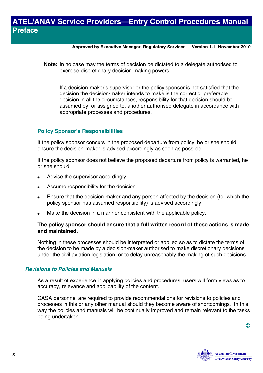**Approved by Executive Manager, Regulatory Services Version 1.1: November 2010** 

**Note:** In no case may the terms of decision be dictated to a delegate authorised to exercise discretionary decision-making powers.

 If a decision-maker's supervisor or the policy sponsor is not satisfied that the decision the decision-maker intends to make is the correct or preferable decision in all the circumstances, responsibility for that decision should be assumed by, or assigned to, another authorised delegate in accordance with appropriate processes and procedures.

#### **Policy Sponsor's Responsibilities**

If the policy sponsor concurs in the proposed departure from policy, he or she should ensure the decision-maker is advised accordingly as soon as possible.

If the policy sponsor does not believe the proposed departure from policy is warranted, he or she should:

- Advise the supervisor accordingly
- Assume responsibility for the decision
- Ensure that the decision-maker and any person affected by the decision (for which the policy sponsor has assumed responsibility) is advised accordingly
- Make the decision in a manner consistent with the applicable policy.

#### **The policy sponsor should ensure that a full written record of these actions is made and maintained.**

Nothing in these processes should be interpreted or applied so as to dictate the terms of the decision to be made by a decision-maker authorised to make discretionary decisions under the civil aviation legislation, or to delay unreasonably the making of such decisions.

#### *Revisions to Policies and Manuals*

As a result of experience in applying policies and procedures, users will form views as to accuracy, relevance and applicability of the content.

CASA personnel are required to provide recommendations for revisions to policies and processes in this or any other manual should they become aware of shortcomings. In this way the policies and manuals will be continually improved and remain relevant to the tasks being undertaken.



 $\bullet$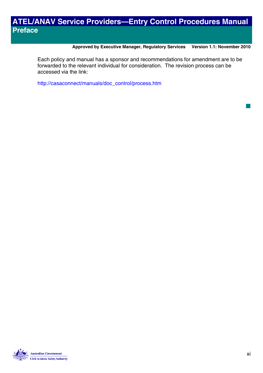**Approved by Executive Manager, Regulatory Services Version 1.1: November 2010** 

Each policy and manual has a sponsor and recommendations for amendment are to be forwarded to the relevant individual for consideration. The revision process can be accessed via the link:

[http://casaconnect/manuals/doc\\_control/process.htm](http://casaconnect/manuals/doc_control/process.htm)



 $\mathbb{R}^3$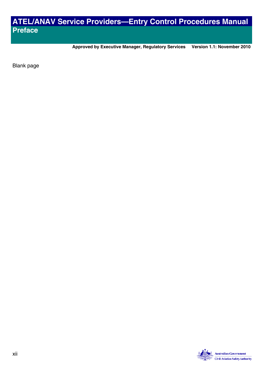**Approved by Executive Manager, Regulatory Services Version 1.1: November 2010** 

Blank page

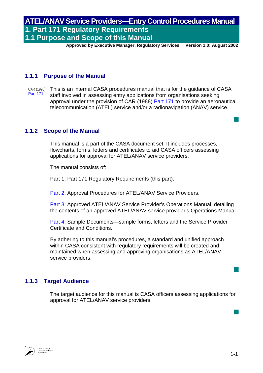**Approved by Executive Manager, Regulatory Services Version 1.0: August 2002**

### <span id="page-14-0"></span>**1.1.1 Purpose of the Manual**

CAR (1998) Part 171 This is an internal CASA procedures manual that is for the guidance of CASA staff involved in assessing entry applications from organisations seeking approval under the provision of CAR (1988) Part 171 to provide an aeronautical telecommunication (ATEL) service and/or a radionavigation (ANAV) service.

#### **1.1.2 Scope of the Manual**

This manual is a part of the CASA document set. It includes processes, flowcharts, forms, letters and certificates to aid CASA officers assessing applications for approval for ATEL/ANAV service providers.

The manual consists of:

Part 1: Part 171 Regulatory Requirements (this part).

Part 2: Approval Procedures for ATEL/ANAV Service Providers.

Part 3: Approved ATEL/ANAV Service Provider's Operations Manual, detailing the contents of an approved ATEL/ANAV service provider's Operations Manual.

Part 4: Sample Documents—sample forms, letters and the Service Provider Certificate and Conditions.

By adhering to this manual's procedures, a standard and unified approach within CASA consistent with regulatory requirements will be created and maintained when assessing and approving organisations as ATEL/ANAV service providers.

### **1.1.3 Target Audience**

The target audience for this manual is CASA officers assessing applications for approval for ATEL/ANAV service providers.



■

■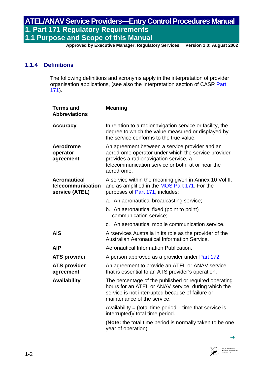**Approved by Executive Manager, Regulatory Services Version 1.0: August 2002**

#### <span id="page-15-0"></span>**1.1.4 Definitions**

The following definitions and acronyms apply in the interpretation of provider organisation applications, (see also the Interpretation section of CASR [Part](#page-14-0) [171\)](#page-14-0).

| <b>Terms and</b><br><b>Abbreviations</b>                   | <b>Meaning</b>                                                                                                                                                                                                    |  |
|------------------------------------------------------------|-------------------------------------------------------------------------------------------------------------------------------------------------------------------------------------------------------------------|--|
| <b>Accuracy</b>                                            | In relation to a radionavigation service or facility, the<br>degree to which the value measured or displayed by<br>the service conforms to the true value.                                                        |  |
| Aerodrome<br>operator<br>agreement                         | An agreement between a service provider and an<br>aerodrome operator under which the service provider<br>provides a radionavigation service, a<br>telecommunication service or both, at or near the<br>aerodrome. |  |
| <b>Aeronautical</b><br>telecommunication<br>service (ATEL) | A service within the meaning given in Annex 10 Vol II,<br>and as amplified in the MOS Part 171. For the<br>purposes of Part 171, includes:                                                                        |  |
|                                                            | a. An aeronautical broadcasting service;                                                                                                                                                                          |  |
|                                                            | b. An aeronautical fixed (point to point)<br>communication service;                                                                                                                                               |  |
|                                                            | c. An aeronautical mobile communication service.                                                                                                                                                                  |  |
| <b>AIS</b>                                                 | Airservices Australia in its role as the provider of the<br><b>Australian Aeronautical Information Service.</b>                                                                                                   |  |
| <b>AIP</b>                                                 | Aeronautical Information Publication.                                                                                                                                                                             |  |
| <b>ATS provider</b>                                        | A person approved as a provider under Part 172.                                                                                                                                                                   |  |
| <b>ATS provider</b><br>agreement                           | An agreement to provide an ATEL or ANAV service<br>that is essential to an ATS provider's operation.                                                                                                              |  |
| <b>Availability</b>                                        | The percentage of the published or required operating<br>hours for an ATEL or ANAV service, during which the<br>service is not interrupted because of failure or<br>maintenance of the service.                   |  |
|                                                            | Availability = (total time period $-$ time that service is<br>interrupted)/ total time period.                                                                                                                    |  |
|                                                            | (Note: the total time period is normally taken to be one<br>year of operation).                                                                                                                                   |  |



➜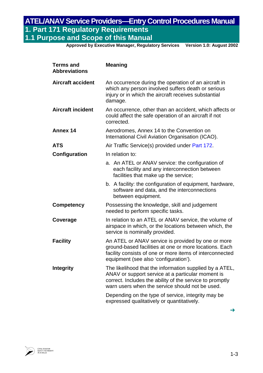**Approved by Executive Manager, Regulatory Services Version 1.0: August 2002**

| <b>Terms and</b><br><b>Abbreviations</b> | <b>Meaning</b>                                                                                                                                                                                                              |
|------------------------------------------|-----------------------------------------------------------------------------------------------------------------------------------------------------------------------------------------------------------------------------|
| <b>Aircraft accident</b>                 | An occurrence during the operation of an aircraft in<br>which any person involved suffers death or serious<br>injury or in which the aircraft receives substantial<br>damage.                                               |
| <b>Aircraft incident</b>                 | An occurrence, other than an accident, which affects or<br>could affect the safe operation of an aircraft if not<br>corrected.                                                                                              |
| Annex 14                                 | Aerodromes, Annex 14 to the Convention on<br>International Civil Aviation Organisation (ICAO).                                                                                                                              |
| <b>ATS</b>                               | Air Traffic Service(s) provided under Part 172.                                                                                                                                                                             |
| Configuration                            | In relation to:                                                                                                                                                                                                             |
|                                          | a. An ATEL or ANAV service: the configuration of<br>each facility and any interconnection between<br>facilities that make up the service;                                                                                   |
|                                          | b. A facility: the configuration of equipment, hardware,<br>software and data, and the interconnections<br>between equipment.                                                                                               |
| <b>Competency</b>                        | Possessing the knowledge, skill and judgement<br>needed to perform specific tasks.                                                                                                                                          |
| Coverage                                 | In relation to an ATEL or ANAV service, the volume of<br>airspace in which, or the locations between which, the<br>service is nominally provided.                                                                           |
| <b>Facility</b>                          | An ATEL or ANAV service is provided by one or more<br>ground-based facilities at one or more locations. Each<br>facility consists of one or more items of interconnected<br>equipment (see also 'configuration').           |
| <b>Integrity</b>                         | The likelihood that the information supplied by a ATEL,<br>ANAV or support service at a particular moment is<br>correct. Includes the ability of the service to promptly<br>warn users when the service should not be used. |
|                                          | Depending on the type of service, integrity may be<br>expressed qualitatively or quantitatively.                                                                                                                            |



➜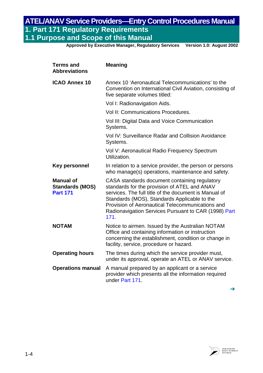**Approved by Executive Manager, Regulatory Services Version 1.0: August 2002**

| <b>Terms and</b><br><b>Abbreviations</b>                      | <b>Meaning</b>                                                                                                                                                                                                                                                                                                             |
|---------------------------------------------------------------|----------------------------------------------------------------------------------------------------------------------------------------------------------------------------------------------------------------------------------------------------------------------------------------------------------------------------|
| <b>ICAO Annex 10</b>                                          | Annex 10 'Aeronautical Telecommunications' to the<br>Convention on International Civil Aviation, consisting of<br>five separate volumes titled:                                                                                                                                                                            |
|                                                               | Vol I: Radionavigation Aids.                                                                                                                                                                                                                                                                                               |
|                                                               | Vol II: Communications Procedures.                                                                                                                                                                                                                                                                                         |
|                                                               | Vol III: Digital Data and Voice Communication<br>Systems.                                                                                                                                                                                                                                                                  |
|                                                               | <b>Vol IV: Surveillance Radar and Collision Avoidance</b><br>Systems.                                                                                                                                                                                                                                                      |
|                                                               | Vol V: Aeronautical Radio Frequency Spectrum<br>Utilization.                                                                                                                                                                                                                                                               |
| <b>Key personnel</b>                                          | In relation to a service provider, the person or persons<br>who manage(s) operations, maintenance and safety.                                                                                                                                                                                                              |
| <b>Manual of</b><br><b>Standards (MOS)</b><br><b>Part 171</b> | CASA standards document containing regulatory<br>standards for the provision of ATEL and ANAV<br>services. The full title of the document is Manual of<br>Standards (MOS), Standards Applicable to the<br>Provision of Aeronautical Telecommunications and<br>Radionavigation Services Pursuant to CAR (1998) Part<br>171. |
| <b>NOTAM</b>                                                  | Notice to airmen. Issued by the Australian NOTAM<br>Office and containing information or instruction<br>concerning the establishment, condition or change in<br>facility, service, procedure or hazard.                                                                                                                    |
| <b>Operating hours</b>                                        | The times during which the service provider must,<br>under its approval, operate an ATEL or ANAV service.                                                                                                                                                                                                                  |
| <b>Operations manual</b>                                      | A manual prepared by an applicant or a service<br>provider which presents all the information required<br>under Part 171.                                                                                                                                                                                                  |

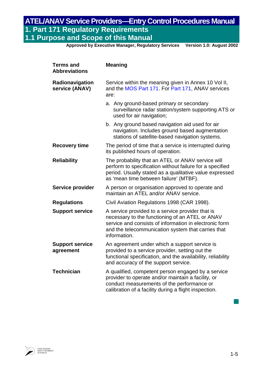### **Approved by Executive Manager, Regulatory Services Version 1.0: August 2002**

| Terms and<br><b>Abbreviations</b>               | <b>Meaning</b>                                                                                                                                                                                                                      |  |
|-------------------------------------------------|-------------------------------------------------------------------------------------------------------------------------------------------------------------------------------------------------------------------------------------|--|
| <b>Radionavigation</b><br><b>service (ANAV)</b> | Service within the meaning given in Annex 10 Vol II,<br>and the MOS Part 171. For Part 171, ANAV services<br>are:                                                                                                                   |  |
|                                                 | a. Any ground-based primary or secondary<br>surveillance radar station/system supporting ATS or<br>used for air navigation;                                                                                                         |  |
|                                                 | b. Any ground based navigation aid used for air<br>navigation. Includes ground based augmentation<br>stations of satellite-based navigation systems.                                                                                |  |
| <b>Recovery time</b>                            | The period of time that a service is interrupted during<br>its published hours of operation.                                                                                                                                        |  |
| Reliability                                     | The probability that an ATEL or ANAV service will<br>perform to specification without failure for a specified<br>period. Usually stated as a qualitative value expressed<br>as 'mean time between failure' (MTBF).                  |  |
| <b>Service provider</b>                         | A person or organisation approved to operate and<br>maintain an ATEL and/or ANAV service.                                                                                                                                           |  |
| <b>Regulations</b>                              | Civil Aviation Regulations 1998 (CAR 1998).                                                                                                                                                                                         |  |
| <b>Support service</b>                          | A service provided to a service provider that is<br>necessary to the functioning of an ATEL or ANAV<br>service and consists of information in electronic form<br>and the telecommunication system that carries that<br>information. |  |
| <b>Support service</b><br>agreement             | An agreement under which a support service is<br>provided to a service provider, setting out the<br>functional specification, and the availability, reliability<br>and accuracy of the support service.                             |  |
| Technician                                      | A qualified, competent person engaged by a service<br>provider to operate and/or maintain a facility, or<br>conduct measurements of the performance or<br>calibration of a facility during a flight inspection.                     |  |

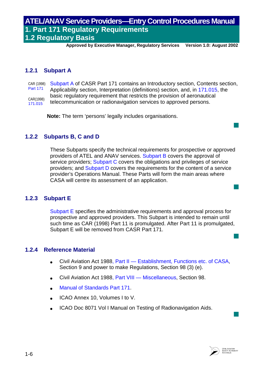### <span id="page-19-0"></span>**ATEL/ANAV Service Providers—Entry Control Procedures Manual 1. Part 171 Regulatory Requirements 1.2 Regulatory Basis**

**Approved by Executive Manager, Regulatory Services Version 1.0: August 2002**

### **1.2.1 Subpart A**

- CAR (1998) [Part 171](#page-14-0) Subpart A of CASR Part 171 contains an Introductory section, Contents section, Applicability section, Interpretation (definitions) section, and, in [171.015](#page-14-0), the basic regulatory requirement that restricts the provision of aeronautical
- CAR(1998) [171.015](#page-14-0) telecommunication or radionavigation services to approved persons.

**Note:** The term 'persons' legally includes organisations.

### **1.2.2 Subparts B, C and D**

These Subparts specify the technical requirements for prospective or approved providers of ATEL and ANAV services. [Subpart B](#page-15-0) covers the approval of service providers; Subpart C covers the obligations and privileges of service providers; and [Subpart D](#page-31-0) covers the requirements for the content of a service provider's Operations Manual. These Parts will form the main areas where CASA will centre its assessment of an application. ■

#### **1.2.3 Subpart E**

[Subpart E](#page-48-0) specifies the administrative requirements and approval process for prospective and approved providers. This Subpart is intended to remain until such time as CAR (1998) Part 11 is promulgated. After Part 11 is promulgated, Subpart E will be removed from CASR Part 171.

#### **1.2.4 Reference Material**

- Civil Aviation Act 1988, Part II Establishment, Functions etc. of CASA, Section 9 and power to make Regulations, Section 98 (3) (e).
- Civil Aviation Act 1988, Part VIII Miscellaneous, Section 98.
- **[Manual of Standards Part 171](#page-0-0).**
- ICAO Annex 10, Volumes I to V.
- ICAO Doc 8071 Vol I Manual on Testing of Radionavigation Aids.



■

■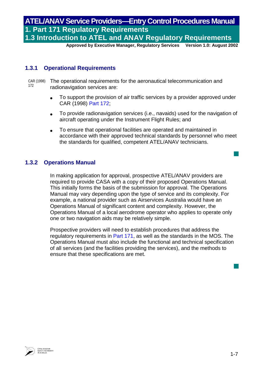### **ATEL/ANAV Service Providers—Entry Control Procedures Manual 1. Part 171 Regulatory Requirements 1.3 Introduction to ATEL and ANAV Regulatory Requirements**

**Approved by Executive Manager, Regulatory Services Version 1.0: August 2002**

### **1.3.1 Operational Requirements**

#### CAR (1998) 172 The operational requirements for the aeronautical telecommunication and radionavigation services are:

- To support the provision of air traffic services by a provider approved under CAR (1998) [Part 172](#page-14-0);
- To provide radionavigation services (i.e., navaids) used for the navigation of aircraft operating under the Instrument Flight Rules; and
- To ensure that operational facilities are operated and maintained in accordance with their approved technical standards by personnel who meet the standards for qualified, competent ATEL/ANAV technicians.

### **1.3.2 Operations Manual**

In making application for approval, prospective ATEL/ANAV providers are required to provide CASA with a copy of their proposed Operations Manual. This initially forms the basis of the submission for approval. The Operations Manual may vary depending upon the type of service and its complexity. For example, a national provider such as Airservices Australia would have an Operations Manual of significant content and complexity. However, the Operations Manual of a local aerodrome operator who applies to operate only one or two navigation aids may be relatively simple.

Prospective providers will need to establish procedures that address the regulatory requirements in [Part 171](#page-14-0), as well as the standards in the MOS. The Operations Manual must also include the functional and technical specification of all services (and the facilities providing the services), and the methods to ensure that these specifications are met.



■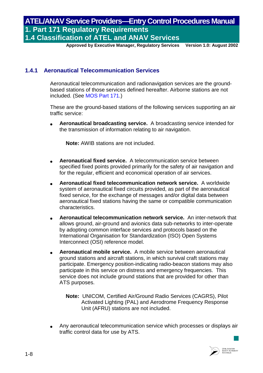### **ATEL/ANAV Service Providers—Entry Control Procedures Manual 1. Part 171 Regulatory Requirements 1.4 Classification of ATEL and ANAV Services**

**Approved by Executive Manager, Regulatory Services Version 1.0: August 2002**

### **1.4.1 Aeronautical Telecommunication Services**

Aeronautical telecommunication and radionavigation services are the groundbased stations of those services defined hereafter. Airborne stations are not included. (See [MOS Part 171.](#page-0-0))

These are the ground-based stations of the following services supporting an air traffic service:

Aeronautical broadcasting service. A broadcasting service intended for the transmission of information relating to air navigation.

**Note:** AWIB stations are not included.

- **Aeronautical fixed service.** A telecommunication service between specified fixed points provided primarily for the safety of air navigation and for the regular, efficient and economical operation of air services.
- **Aeronautical fixed telecommunication network service.** A worldwide system of aeronautical fixed circuits provided, as part of the aeronautical fixed service, for the exchange of messages and/or digital data between aeronautical fixed stations having the same or compatible communication characteristics.
- **Aeronautical telecommunication network service.** An inter-network that allows ground, air-ground and avionics data sub-networks to inter-operate by adopting common interface services and protocols based on the International Organisation for Standardization (ISO) Open Systems Interconnect (OSI) reference model.
- **Aeronautical mobile service.** A mobile service between aeronautical ground stations and aircraft stations, in which survival craft stations may participate. Emergency position-indicating radio-beacon stations may also participate in this service on distress and emergency frequencies. This service does not include ground stations that are provided for other than ATS purposes.
	- **Note:** UNICOM, Certified Air/Ground Radio Services (CAGRS), Pilot Activated Lighting (PAL) and Aerodrome Frequency Response Unit (AFRU) stations are not included.
- Any aeronautical telecommunication service which processes or displays air traffic control data for use by ATS. ■

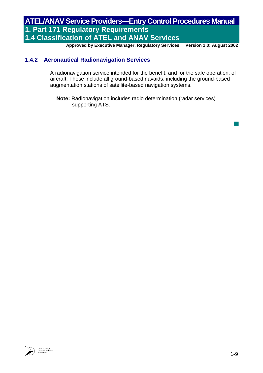### **ATEL/ANAV Service Providers—Entry Control Procedures Manual 1. Part 171 Regulatory Requirements 1.4 Classification of ATEL and ANAV Services**

**Approved by Executive Manager, Regulatory Services Version 1.0: August 2002**

### **1.4.2 Aeronautical Radionavigation Services**

A radionavigation service intended for the benefit, and for the safe operation, of aircraft. These include all ground-based navaids, including the ground-based augmentation stations of satellite-based navigation systems.

**Note:** Radionavigation includes radio determination (radar services) supporting ATS.

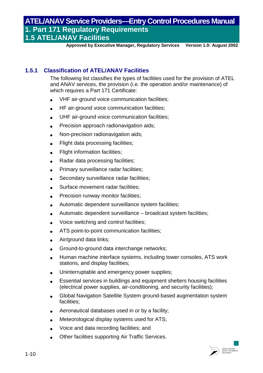### **ATEL/ANAV Service Providers—Entry Control Procedures Manual 1. Part 171 Regulatory Requirements 1.5 ATEL/ANAV Facilities**

**Approved by Executive Manager, Regulatory Services Version 1.0: August 2002**

### **1.5.1 Classification of ATEL/ANAV Facilities**

The following list classifies the types of facilities used for the provision of ATEL and ANAV services, the provision (i.e. the operation and/or maintenance) of which requires a Part 171 Certificate:

- VHF air-ground voice communication facilities;
- HF air-ground voice communication facilities;
- UHF air-ground voice communication facilities;
- Precision approach radionavigation aids:
- Non-precision radionavigation aids;
- Flight data processing facilities:
- Flight information facilities;
- Radar data processing facilities;
- Primary surveillance radar facilities;
- Secondary surveillance radar facilities;
- Surface movement radar facilities:
- Precision runway monitor facilities;
- Automatic dependent surveillance system facilities;
- Automatic dependent surveillance broadcast system facilities;
- Voice switching and control facilities;
- ATS point-to-point communication facilities;
- Air/ground data links;
- Ground-to-ground data interchange networks;
- Human machine interface systems, including tower consoles, ATS work stations, and display facilities;
- Uninterruptable and emergency power supplies;
- Essential services in buildings and equipment shelters housing facilities (electrical power supplies, air-conditioning, and security facilities);
- Global Navigation Satellite System ground-based augmentation system facilities;
- Aeronautical databases used in or by a facility;
- Meteorological display systems used for ATS;
- Voice and data recording facilities; and
- Other facilities supporting Air Traffic Services.

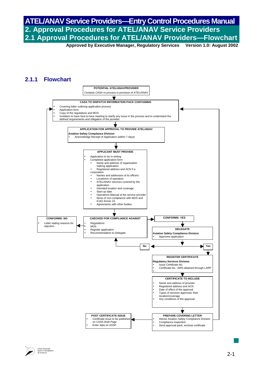<span id="page-24-0"></span>**ATEL/ANAV Service Providers—Entry Control Procedures Manual 2. Approval Procedures for ATEL/ANAV Service Providers 2.1 Approval Procedures for ATEL/ANAV Providers—Flowchart**

**Approved by Executive Manager, Regulatory Services Version 1.0: August 2002**

### **2.1.1 Flowchart**



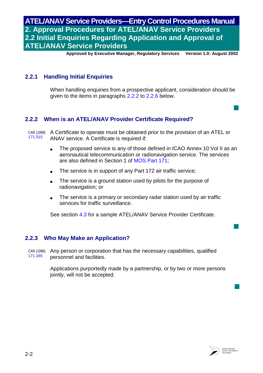<span id="page-25-0"></span>**ATEL/ANAV Service Providers—Entry Control Procedures Manual 2. Approval Procedures for ATEL/ANAV Service Providers 2.2 Initial Enquiries Regarding Application and Approval of ATEL/ANAV Service Providers**

**Approved by Executive Manager, Regulatory Services Version 1.0: August 2002**

### **2.2.1 Handling Initial Enquiries**

When handling enquiries from a prospective applicant, consideration should be given to the items in paragraphs 2.2.2 to [2.2.6](#page-27-0) below.

### **2.2.2 When is an ATEL/ANAV Provider Certificate Required?**

CAR (1998) 171.015 A Certificate to operate must be obtained prior to the provision of an ATEL or ANAV service. A Certificate is required if:

- The proposed service is any of those defined in ICAO Annex 10 Vol II as an aeronautical telecommunication or radionavigation service. The services are also defined in Section 1 of [MOS Part 171](#page-0-0);
- The service is in support of any Part 172 air traffic service;
- The service is a ground station used by pilots for the purpose of radionavigation; or
- The service is a primary or secondary radar station used by air traffic services for traffic surveillance.

See section [4.3](#page-26-0) for a sample ATEL/ANAV Service Provider Certificate.

#### **2.2.3 Who May Make an Application?**

CAR (1998) [171.165](#page-49-0) Any person or corporation that has the necessary capabilities, qualified personnel and facilities.

> Applications purportedly made by a partnership, or by two or more persons jointly, will not be accepted.



■

■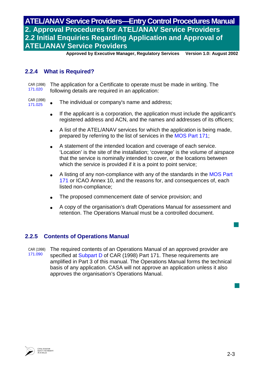<span id="page-26-0"></span>**ATEL/ANAV Service Providers—Entry Control Procedures Manual 2. Approval Procedures for ATEL/ANAV Service Providers 2.2 Initial Enquiries Regarding Application and Approval of ATEL/ANAV Service Providers**

**Approved by Executive Manager, Regulatory Services Version 1.0: August 2002**

### **2.2.4 What is Required?**

CAR (1998) [171.020](#page-25-0) The application for a Certificate to operate must be made in writing. The following details are required in an application:

CAR (1998) 171.025

- The individual or company's name and address;
	- If the applicant is a corporation, the application must include the applicant's registered address and ACN, and the names and addresses of its officers;
	- A list of the ATEL/ANAV services for which the application is being made, prepared by referring to the list of services in the [MOS Part 171;](#page-0-0)
	- A statement of the intended location and coverage of each service. 'Location' is the site of the installation; 'coverage' is the volume of airspace that the service is nominally intended to cover, or the locations between which the service is provided if it is a point to point service;
	- A listing of any non-compliance with any of the standards in the [MOS Part](#page-0-0) [171](#page-0-0) or ICAO Annex 10, and the reasons for, and consequences of, each listed non-compliance;
	- The proposed commencement date of service provision; and
	- A copy of the organisation's draft Operations Manual for assessment and retention. The Operations Manual must be a controlled document.

### **2.2.5 Contents of Operations Manual**

CAR (1998) [171.090](#page-31-0) The required contents of an Operations Manual of an approved provider are specified at [Subpart D](#page-31-0) of CAR (1998) Part 171. These requirements are amplified in Part 3 of this manual. The Operations Manual forms the technical basis of any application. CASA will not approve an application unless it also approves the organisation's Operations Manual.



■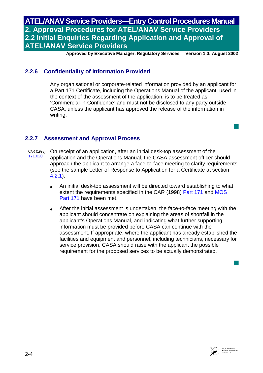<span id="page-27-0"></span>**ATEL/ANAV Service Providers—Entry Control Procedures Manual 2. Approval Procedures for ATEL/ANAV Service Providers 2.2 Initial Enquiries Regarding Application and Approval of ATEL/ANAV Service Providers**

**Approved by Executive Manager, Regulatory Services Version 1.0: August 2002**

#### **2.2.6 Confidentiality of Information Provided**

Any organisational or corporate-related information provided by an applicant for a Part 171 Certificate, including the Operations Manual of the applicant, used in the context of the assessment of the application, is to be treated as 'Commercial-in-Confidence' and must not be disclosed to any party outside CASA, unless the applicant has approved the release of the information in writing.

### **2.2.7 Assessment and Approval Process**

- CAR (1998) [171.020](#page-25-0) On receipt of an application, after an initial desk-top assessment of the application and the Operations Manual, the CASA assessment officer should approach the applicant to arrange a face-to-face meeting to clarify requirements (see the sample Letter of Response to Application for a Certificate at section [4.2.1](#page-25-0)).
	- An initial desk-top assessment will be directed toward establishing to what extent the requirements specified in the CAR (1998) [Part 171](#page-24-0) and [MOS](#page-0-0) [Part 171](#page-0-0) have been met.
	- After the initial assessment is undertaken, the face-to-face meeting with the applicant should concentrate on explaining the areas of shortfall in the applicant's Operations Manual, and indicating what further supporting information must be provided before CASA can continue with the assessment. If appropriate, where the applicant has already established the facilities and equipment and personnel, including technicians, necessary for service provision, CASA should raise with the applicant the possible requirement for the proposed services to be actually demonstrated.



■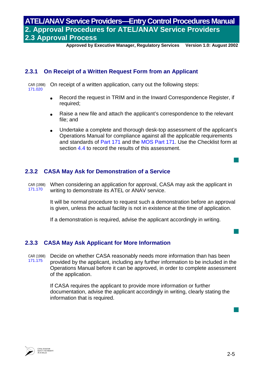### **ATEL/ANAV Service Providers—Entry Control Procedures Manual 2. Approval Procedures for ATEL/ANAV Service Providers 2.3 Approval Process**

**Approved by Executive Manager, Regulatory Services Version 1.0: August 2002**

#### **2.3.1 On Receipt of a Written Request Form from an Applicant**

CAR (1998) On receipt of a written application, carry out the following steps: [171.020](#page-25-0)

- Record the request in TRIM and in the Inward Correspondence Register, if required;
- Raise a new file and attach the applicant's correspondence to the relevant file; and
- Undertake a complete and thorough desk-top assessment of the applicant's Operations Manual for compliance against all the applicable requirements and standards of [Part 171](#page-24-0) and the [MOS Part 171](#page-0-0). Use the Checklist form at section [4.4](#page-19-0) to record the results of this assessment.

### **2.3.2 CASA May Ask for Demonstration of a Service**

CAR (1998) [171.170](#page-49-0) When considering an application for approval, CASA may ask the applicant in writing to demonstrate its ATEL or ANAV service.

> It will be normal procedure to request such a demonstration before an approval is given, unless the actual facility is not in existence at the time of application.

If a demonstration is required, advise the applicant accordingly in writing.

### **2.3.3 CASA May Ask Applicant for More Information**

CAR (1998) [171.175](#page-49-0) Decide on whether CASA reasonably needs more information than has been provided by the applicant, including any further information to be included in the Operations Manual before it can be approved, in order to complete assessment of the application.

> If CASA requires the applicant to provide more information or further documentation, advise the applicant accordingly in writing, clearly stating the information that is required.



■

■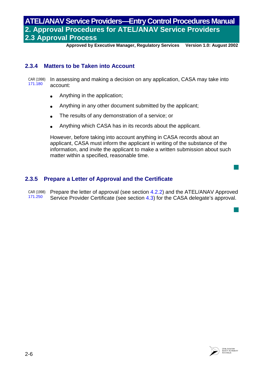### **ATEL/ANAV Service Providers—Entry Control Procedures Manual 2. Approval Procedures for ATEL/ANAV Service Providers 2.3 Approval Process**

**Approved by Executive Manager, Regulatory Services Version 1.0: August 2002**

### **2.3.4 Matters to be Taken into Account**

CAR (1998) [171.180](#page-49-0) In assessing and making a decision on any application, CASA may take into account:

- Anything in the application;
- Anything in any other document submitted by the applicant:
- The results of any demonstration of a service; or
- Anything which CASA has in its records about the applicant.

However, before taking into account anything in CASA records about an applicant, CASA must inform the applicant in writing of the substance of the information, and invite the applicant to make a written submission about such matter within a specified, reasonable time.

### **2.3.5 Prepare a Letter of Approval and the Certificate**

CAR (1998) 171.250 Prepare the letter of approval (see section [4.2.2](#page-15-0)) and the ATEL/ANAV Approved Service Provider Certificate (see section [4.3](#page-26-0)) for the CASA delegate's approval.



■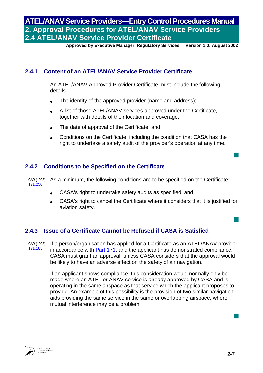### **ATEL/ANAV Service Providers—Entry Control Procedures Manual 2. Approval Procedures for ATEL/ANAV Service Providers 2.4 ATEL/ANAV Service Provider Certificate**

**Approved by Executive Manager, Regulatory Services Version 1.0: August 2002**

### **2.4.1 Content of an ATEL/ANAV Service Provider Certificate**

An ATEL/ANAV Approved Provider Certificate must include the following details:

- $\bullet$  The identity of the approved provider (name and address);
- A list of those ATEL/ANAV services approved under the Certificate, together with details of their location and coverage;
- The date of approval of the Certificate; and
- Conditions on the Certificate; including the condition that CASA has the right to undertake a safety audit of the provider's operation at any time.

#### **2.4.2 Conditions to be Specified on the Certificate**

CAR (1998) 171.250 As a minimum, the following conditions are to be specified on the Certificate:

- CASA's right to undertake safety audits as specified; and
- CASA's right to cancel the Certificate where it considers that it is justified for aviation safety.

### **2.4.3 Issue of a Certificate Cannot be Refused if CASA is Satisfied**

CAR (1998) [171.185](#page-49-0) If a person/organisation has applied for a Certificate as an ATEL/ANAV provider in accordance with [Part 171](#page-24-0), and the applicant has demonstrated compliance, CASA must grant an approval, unless CASA considers that the approval would be likely to have an adverse effect on the safety of air navigation.

> If an applicant shows compliance, this consideration would normally only be made where an ATEL or ANAV service is already approved by CASA and is operating in the same airspace as that service which the applicant proposes to provide. An example of this possibility is the provision of two similar navigation aids providing the same service in the same or overlapping airspace, where mutual interference may be a problem.



■

■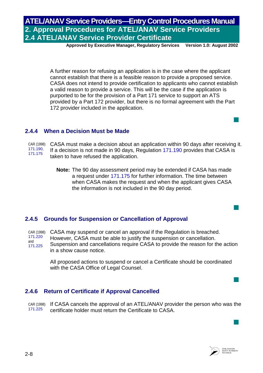### <span id="page-31-0"></span>**ATEL/ANAV Service Providers—Entry Control Procedures Manual 2. Approval Procedures for ATEL/ANAV Service Providers 2.4 ATEL/ANAV Service Provider Certificate**

**Approved by Executive Manager, Regulatory Services Version 1.0: August 2002**

■

■

■

■

A further reason for refusing an application is in the case where the applicant cannot establish that there is a feasible reason to provide a proposed service. CASA does not intend to provide certification to applicants who cannot establish a valid reason to provide a service. This will be the case if the application is purported to be for the provision of a Part 171 service to support an ATS provided by a Part 172 provider, but there is no formal agreement with the Part 172 provider included in the application.

### **2.4.4 When a Decision Must be Made**

CAR (1998) [171.190](#page-50-0), [171.175](#page-49-0) CASA must make a decision about an application within 90 days after receiving it. If a decision is not made in 90 days, Regulation [171.190](#page-50-0) provides that CASA is taken to have refused the application.

> **Note:** The 90 day assessment period may be extended if CASA has made a request under [171.175](#page-49-0) for further information. The time between when CASA makes the request and when the applicant gives CASA the information is not included in the 90 day period.

### **2.4.5 Grounds for Suspension or Cancellation of Approval**

CAR (1998) CASA may suspend or cancel an approval if the Regulation is breached.

171.220 and However, CASA must be able to justify the suspension or cancellation.

171.225 Suspension and cancellations require CASA to provide the reason for the action in a show cause notice.

> All proposed actions to suspend or cancel a Certificate should be coordinated with the CASA Office of Legal Counsel.

### **2.4.6 Return of Certificate if Approval Cancelled**

CAR (1998) 171.225 If CASA cancels the approval of an ATEL/ANAV provider the person who was the certificate holder must return the Certificate to CASA.

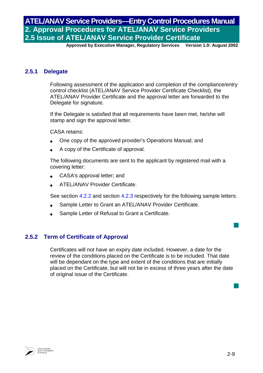### **ATEL/ANAV Service Providers—Entry Control Procedures Manual 2. Approval Procedures for ATEL/ANAV Service Providers 2.5 Issue of ATEL/ANAV Service Provider Certificate**

**Approved by Executive Manager, Regulatory Services Version 1.0: August 2002**

### **2.5.1 Delegate**

Following assessment of the application and completion of the compliance/entry control checklist (ATEL/ANAV Service Provider Certificate Checklist), the ATEL/ANAV Provider Certificate and the approval letter are forwarded to the Delegate for signature.

If the Delegate is satisfied that all requirements have been met, he/she will stamp and sign the approval letter.

CASA retains:

- One copy of the approved provider's Operations Manual; and
- A copy of the Certificate of approval.

The following documents are sent to the applicant by registered mail with a covering letter:

- CASA's approval letter; and
- **ATEL/ANAV Provider Certificate.**

See section [4.2.2](#page-15-0) and section [4.2.3](#page-25-0) respectively for the following sample letters:

- Sample Letter to Grant an ATEL/ANAV Provider Certificate.
- Sample Letter of Refusal to Grant a Certificate.

### **2.5.2 Term of Certificate of Approval**

Certificates will not have an expiry date included. However, a date for the review of the conditions placed on the Certificate is to be included. That date will be dependant on the type and extent of the conditions that are initially placed on the Certificate, but will not be in excess of three years after the date of original issue of the Certificate.



■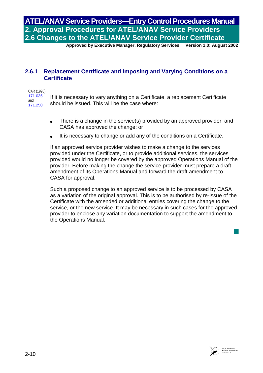**Approved by Executive Manager, Regulatory Services Version 1.0: August 2002**

### **2.6.1 Replacement Certificate and Imposing and Varying Conditions on a Certificate**

CAR (1998)

[171.035](#page-19-0) and 171.250 If it is necessary to vary anything on a Certificate, a replacement Certificate should be issued. This will be the case where:

- There is a change in the service(s) provided by an approved provider, and CASA has approved the change; or
- It is necessary to change or add any of the conditions on a Certificate.

If an approved service provider wishes to make a change to the services provided under the Certificate, or to provide additional services, the services provided would no longer be covered by the approved Operations Manual of the provider. Before making the change the service provider must prepare a draft amendment of its Operations Manual and forward the draft amendment to CASA for approval.

Such a proposed change to an approved service is to be processed by CASA as a variation of the original approval. This is to be authorised by re-issue of the Certificate with the amended or additional entries covering the change to the service, or the new service. It may be necessary in such cases for the approved provider to enclose any variation documentation to support the amendment to the Operations Manual.

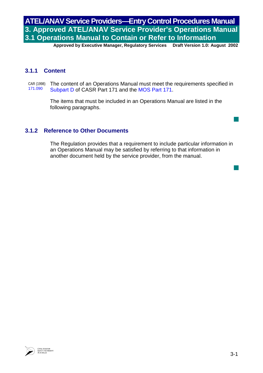<span id="page-34-0"></span>**Approved by Executive Manager, Regulatory Services Draft Version 1.0: August 2002**

### **3.1.1 Content**

CAR (1998) [171.090](#page-40-0) The content of an Operations Manual must meet the requirements specified in [Subpart D](#page-40-0) of CASR Part 171 and the [MOS Part 171](#page-0-0).

> The items that must be included in an Operations Manual are listed in the following paragraphs.

### **3.1.2 Reference to Other Documents**

The Regulation provides that a requirement to include particular information in an Operations Manual may be satisfied by referring to that information in another document held by the service provider, from the manual.



■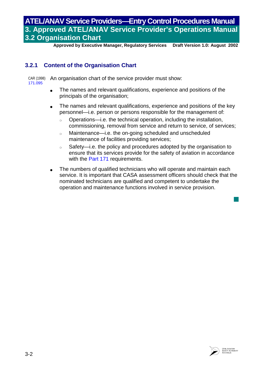### **ATEL/ANAV Service Providers—Entry Control Procedures Manual 3. Approved ATEL/ANAV Service Provider's Operations Manual 3.2 Organisation Chart**

**Approved by Executive Manager, Regulatory Services Draft Version 1.0: August 2002**

### **3.2.1 Content of the Organisation Chart**

CAR (1998) [171.095](#page-40-0) An organisation chart of the service provider must show:

- The names and relevant qualifications, experience and positions of the principals of the organisation;
- The names and relevant qualifications, experience and positions of the key personnel—i.e. person or persons responsible for the management of:
	- ❍ Operations—i.e. the technical operation, including the installation, commissioning, removal from service and return to service, of services;
	- ❍ Maintenance—i.e. the on-going scheduled and unscheduled maintenance of facilities providing services;
	- ❍ Safety—i.e. the policy and procedures adopted by the organisation to ensure that its services provide for the safety of aviation in accordance with the [Part 171](#page-34-0) requirements.
- The numbers of qualified technicians who will operate and maintain each service. It is important that CASA assessment officers should check that the nominated technicians are qualified and competent to undertake the operation and maintenance functions involved in service provision.

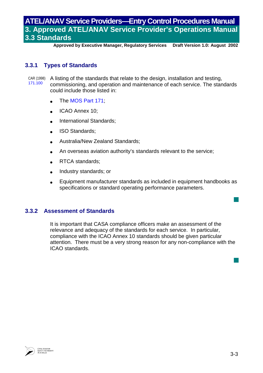### **ATEL/ANAV Service Providers—Entry Control Procedures Manual 3. Approved ATEL/ANAV Service Provider's Operations Manual 3.3 Standards**

**Approved by Executive Manager, Regulatory Services Draft Version 1.0: August 2002**

### **3.3.1 Types of Standards**

- CAR (1998) [171.100](#page-42-0) A listing of the standards that relate to the design, installation and testing, commissioning, and operation and maintenance of each service. The standards could include those listed in:
	- The [MOS Part 171](#page-0-0);
	- ICAO Annex 10:
	- International Standards;
	- **ISO Standards;**
	- Australia/New Zealand Standards;
	- An overseas aviation authority's standards relevant to the service;
	- RTCA standards:
	- Industry standards; or
	- Equipment manufacturer standards as included in equipment handbooks as specifications or standard operating performance parameters.

#### **3.3.2 Assessment of Standards**

It is important that CASA compliance officers make an assessment of the relevance and adequacy of the standards for each service. In particular, compliance with the ICAO Annex 10 standards should be given particular attention. There must be a very strong reason for any non-compliance with the ICAO standards.



■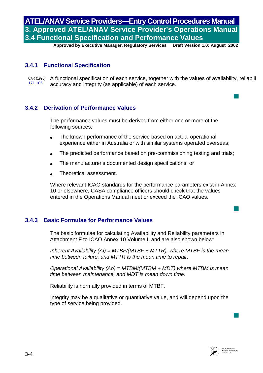### **ATEL/ANAV Service Providers—Entry Control Procedures Manual 3. Approved ATEL/ANAV Service Provider's Operations Manual 3.4 Functional Specification and Performance Values**

**Approved by Executive Manager, Regulatory Services Draft Version 1.0: August 2002**

### **3.4.1 Functional Specification**

CAR (1998) [171.105](#page-42-0) A functional specification of each service, together with the values of availability, reliabili accuracy and integrity (as applicable) of each service.

### **3.4.2 Derivation of Performance Values**

The performance values must be derived from either one or more of the following sources:

- The known performance of the service based on actual operational experience either in Australia or with similar systems operated overseas;
- The predicted performance based on pre-commissioning testing and trials;
- The manufacturer's documented design specifications; or
- Theoretical assessment.

Where relevant ICAO standards for the performance parameters exist in Annex 10 or elsewhere, CASA compliance officers should check that the values entered in the Operations Manual meet or exceed the ICAO values.

### **3.4.3 Basic Formulae for Performance Values**

The basic formulae for calculating Availability and Reliability parameters in Attachment F to ICAO Annex 10 Volume I, and are also shown below:

Inherent Availability  $(Ai) = MTBF/(MTBF + MTTR)$ , where MTBF is the mean time between failure, and MTTR is the mean time to repair.

Operational Availability  $(Ao) = MTBM/(MTBM + MDT)$  where MTBM is mean time between maintenance, and MDT is mean down time.

Reliability is normally provided in terms of MTBF.

Integrity may be a qualitative or quantitative value, and will depend upon the type of service being provided.



■

■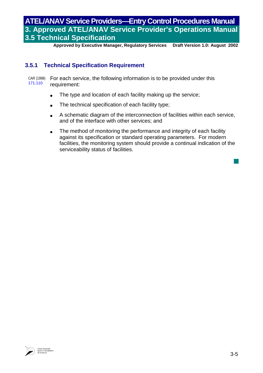### <span id="page-38-0"></span>**ATEL/ANAV Service Providers—Entry Control Procedures Manual 3. Approved ATEL/ANAV Service Provider's Operations Manual 3.5 Technical Specification**

**Approved by Executive Manager, Regulatory Services Draft Version 1.0: August 2002**

### **3.5.1 Technical Specification Requirement**

CAR (1998) [171.110](#page-43-0) For each service, the following information is to be provided under this requirement:

- The type and location of each facility making up the service;
- The technical specification of each facility type;
- A schematic diagram of the interconnection of facilities within each service, and of the interface with other services; and
- The method of monitoring the performance and integrity of each facility against its specification or standard operating parameters. For modern facilities, the monitoring system should provide a continual indication of the serviceability status of facilities.

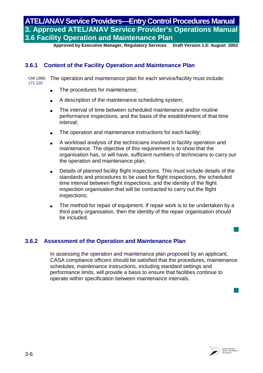### <span id="page-39-0"></span>**ATEL/ANAV Service Providers—Entry Control Procedures Manual 3. Approved ATEL/ANAV Service Provider's Operations Manual 3.6 Facility Operation and Maintenance Plan**

**Approved by Executive Manager, Regulatory Services Draft Version 1.0: August 2002**

### **3.6.1 Content of the Facility Operation and Maintenance Plan**

CAR (1998) [171.120](#page-44-0) The operation and maintenance plan for each service/facility must include:

- The procedures for maintenance;
- A description of the maintenance scheduling system;
- The interval of time between scheduled maintenance and/or routine performance inspections, and the basis of the establishment of that time interval;
- The operation and maintenance instructions for each facility;
- A workload analysis of the technicians involved in facility operation and maintenance. The objective of this requirement is to show that the organisation has, or will have, sufficient numbers of technicians to carry out the operation and maintenance plan;
- Details of planned facility flight inspections. This must include details of the standards and procedures to be used for flight inspections, the scheduled time interval between flight inspections, and the identity of the flight inspection organisation that will be contracted to carry out the flight inspections;
- The method for repair of equipment. If repair work is to be undertaken by a third party organisation, then the identity of the repair organisation should be included.

#### **3.6.2 Assessment of the Operation and Maintenance Plan**

In assessing the operation and maintenance plan proposed by an applicant, CASA compliance officers should be satisfied that the procedures, maintenance schedules, maintenance instructions, including standard settings and performance limits, will provide a basis to ensure that facilities continue to operate within specification between maintenance intervals.



■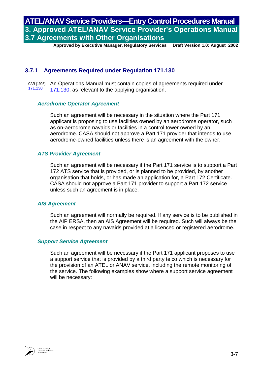### <span id="page-40-0"></span>**ATEL/ANAV Service Providers—Entry Control Procedures Manual 3. Approved ATEL/ANAV Service Provider's Operations Manual 3.7 Agreements with Other Organisations**

**Approved by Executive Manager, Regulatory Services Draft Version 1.0: August 2002**

### **3.7.1 Agreements Required under Regulation 171.130**

CAR (1998) [171.130](#page-45-0) An Operations Manual must contain copies of agreements required under [171.130](#page-45-0), as relevant to the applying organisation.

#### **Aerodrome Operator Agreement**

Such an agreement will be necessary in the situation where the Part 171 applicant is proposing to use facilities owned by an aerodrome operator, such as on-aerodrome navaids or facilities in a control tower owned by an aerodrome. CASA should not approve a Part 171 provider that intends to use aerodrome-owned facilities unless there is an agreement with the owner.

#### **ATS Provider Agreement**

Such an agreement will be necessary if the Part 171 service is to support a Part 172 ATS service that is provided, or is planned to be provided, by another organisation that holds, or has made an application for, a Part 172 Certificate. CASA should not approve a Part 171 provider to support a Part 172 service unless such an agreement is in place.

#### **AIS Agreement**

Such an agreement will normally be required. If any service is to be published in the AIP ERSA, then an AIS Agreement will be required. Such will always be the case in respect to any navaids provided at a licenced or registered aerodrome.

#### **Support Service Agreement**

Such an agreement will be necessary if the Part 171 applicant proposes to use a support service that is provided by a third party telco which is necessary for the provision of an ATEL or ANAV service, including the remote monitoring of the service. The following examples show where a support service agreement will be necessary:

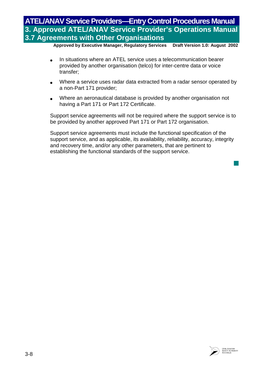### **ATEL/ANAV Service Providers—Entry Control Procedures Manual 3. Approved ATEL/ANAV Service Provider's Operations Manual 3.7 Agreements with Other Organisations**

**Approved by Executive Manager, Regulatory Services Draft Version 1.0: August 2002**

- In situations where an ATEL service uses a telecommunication bearer provided by another organisation (telco) for inter-centre data or voice transfer;
- Where a service uses radar data extracted from a radar sensor operated by a non-Part 171 provider;
- Where an aeronautical database is provided by another organisation not having a Part 171 or Part 172 Certificate.

Support service agreements will not be required where the support service is to be provided by another approved Part 171 or Part 172 organisation.

Support service agreements must include the functional specification of the support service, and as applicable, its availability, reliability, accuracy, integrity and recovery time, and/or any other parameters, that are pertinent to establishing the functional standards of the support service.

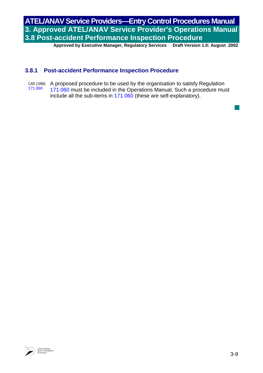### <span id="page-42-0"></span>**ATEL/ANAV Service Providers—Entry Control Procedures Manual 3. Approved ATEL/ANAV Service Provider's Operations Manual 3.8 Post-accident Performance Inspection Procedure**

**Approved by Executive Manager, Regulatory Services Draft Version 1.0: August 2002**

### **3.8.1 Post-accident Performance Inspection Procedure**

- CAR (1998) A proposed procedure to be used by the organisation to satisfy Regulation
- [171.060](#page-39-0) [171.060](#page-39-0) must be included in the Operations Manual. Such a procedure must include all the sub-items in [171.060](#page-39-0) (these are self-explanatory).

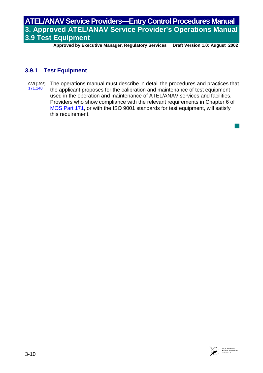### <span id="page-43-0"></span>**ATEL/ANAV Service Providers—Entry Control Procedures Manual 3. Approved ATEL/ANAV Service Provider's Operations Manual 3.9 Test Equipment**

**Approved by Executive Manager, Regulatory Services Draft Version 1.0: August 2002**

### **3.9.1 Test Equipment**

CAR (1998) [171.140](#page-46-0) The operations manual must describe in detail the procedures and practices that the applicant proposes for the calibration and maintenance of test equipment used in the operation and maintenance of ATEL/ANAV services and facilities. Providers who show compliance with the relevant requirements in Chapter 6 of [MOS Part 171](#page-0-0), or with the ISO 9001 standards for test equipment, will satisfy this requirement.

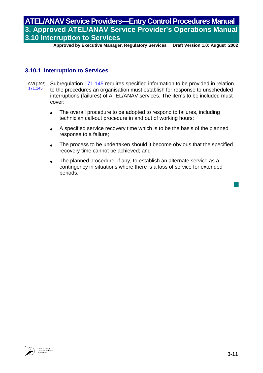### <span id="page-44-0"></span>**ATEL/ANAV Service Providers—Entry Control Procedures Manual 3. Approved ATEL/ANAV Service Provider's Operations Manual 3.10 Interruption to Services**

**Approved by Executive Manager, Regulatory Services Draft Version 1.0: August 2002**

#### **3.10.1 Interruption to Services**

- CAR (1998) [171.145](#page-46-0) Subregulation [171.145](#page-46-0) requires specified information to be provided in relation to the procedures an organisation must establish for response to unscheduled interruptions (failures) of ATEL/ANAV services. The items to be included must cover:
	- The overall procedure to be adopted to respond to failures, including technician call-out procedure in and out of working hours;
	- A specified service recovery time which is to be the basis of the planned response to a failure;
	- The process to be undertaken should it become obvious that the specified recovery time cannot be achieved; and
	- The planned procedure, if any, to establish an alternate service as a contingency in situations where there is a loss of service for extended periods.

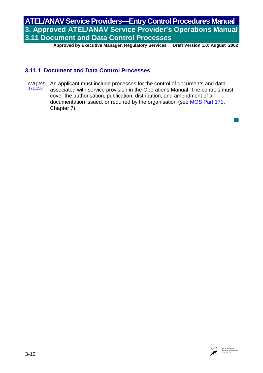### <span id="page-45-0"></span>**ATEL/ANAV Service Providers—Entry Control Procedures Manual 3. Approved ATEL/ANAV Service Provider's Operations Manual 3.11 Document and Data Control Processes**

**Approved by Executive Manager, Regulatory Services Draft Version 1.0: August 2002**

#### **3.11.1 Document and Data Control Processes**

CAR (1998) [171.150](#page-47-0) An applicant must include processes for the control of documents and data associated with service provision in the Operations Manual. The controls must cover the authorisation, publication, distribution, and amendment of all documentation issued, or required by the organisation (see [MOS Part 171](#page-0-0), Chapter 7).

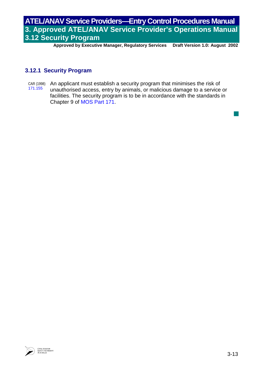### <span id="page-46-0"></span>**ATEL/ANAV Service Providers—Entry Control Procedures Manual 3. Approved ATEL/ANAV Service Provider's Operations Manual 3.12 Security Program**

**Approved by Executive Manager, Regulatory Services Draft Version 1.0: August 2002**

#### **3.12.1 Security Program**

CAR (1998) [171.155](#page-47-0) An applicant must establish a security program that minimises the risk of unauthorised access, entry by animals, or malicious damage to a service or facilities. The security program is to be in accordance with the standards in Chapter 9 of [MOS Part 171](#page-0-0).

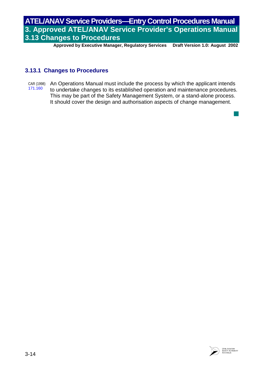### <span id="page-47-0"></span>**ATEL/ANAV Service Providers—Entry Control Procedures Manual 3. Approved ATEL/ANAV Service Provider's Operations Manual 3.13 Changes to Procedures**

**Approved by Executive Manager, Regulatory Services Draft Version 1.0: August 2002**

### **3.13.1 Changes to Procedures**

CAR (1998) [171.160](#page-48-0) An Operations Manual must include the process by which the applicant intends to undertake changes to its established operation and maintenance procedures. This may be part of the Safety Management System, or a stand-alone process. It should cover the design and authorisation aspects of change management.

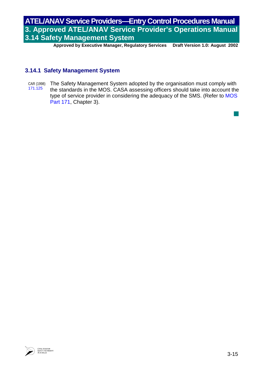### <span id="page-48-0"></span>**ATEL/ANAV Service Providers—Entry Control Procedures Manual 3. Approved ATEL/ANAV Service Provider's Operations Manual 3.14 Safety Management System**

**Approved by Executive Manager, Regulatory Services Draft Version 1.0: August 2002**

### **3.14.1 Safety Management System**

CAR (1998) [171.125](#page-44-0) The Safety Management System adopted by the organisation must comply with the standards in the MOS. CASA assessing officers should take into account the type of service provider in considering the adequacy of the SMS. (Refer to [MOS](#page-0-0) [Part 171](#page-0-0), Chapter 3).

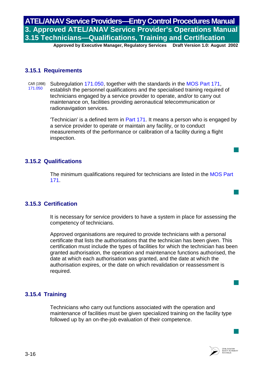<span id="page-49-0"></span>**Approved by Executive Manager, Regulatory Services Draft Version 1.0: August 2002**

#### **3.15.1 Requirements**

CAR (1998) [171.050](#page-38-0) Subregulation [171.050](#page-38-0), together with the standards in the [MOS Part 171](#page-34-0), establish the personnel qualifications and the specialised training required of technicians engaged by a service provider to operate, and/or to carry out maintenance on, facilities providing aeronautical telecommunication or radionavigation services.

> 'Technician' is a defined term in [Part 171.](#page-34-0) It means a person who is engaged by a service provider to operate or maintain any facility, or to conduct measurements of the performance or calibration of a facility during a flight inspection.

### **3.15.2 Qualifications**

The minimum qualifications required for technicians are listed in the [MOS Part](#page-0-0) [171.](#page-0-0)

#### **3.15.3 Certification**

It is necessary for service providers to have a system in place for assessing the competency of technicians.

Approved organisations are required to provide technicians with a personal certificate that lists the authorisations that the technician has been given. This certification must include the types of facilities for which the technician has been granted authorisation, the operation and maintenance functions authorised, the date at which each authorisation was granted, and the date at which the authorisation expires, or the date on which revalidation or reassessment is required.

#### **3.15.4 Training**

Technicians who carry out functions associated with the operation and maintenance of facilities must be given specialized training on the facility type followed up by an on-the-job evaluation of their competence.



■

■

■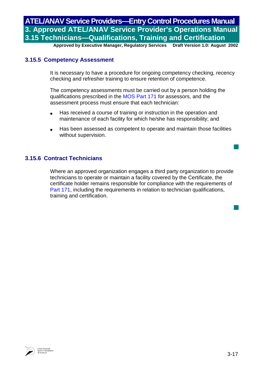### <span id="page-50-0"></span>**ATEL/ANAV Service Providers—Entry Control Procedures Manual 3. Approved ATEL/ANAV Service Provider's Operations Manual 3.15 Technicians—Qualifications, Training and Certification**

**Approved by Executive Manager, Regulatory Services Draft Version 1.0: August 2002**

### **3.15.5 Competency Assessment**

It is necessary to have a procedure for ongoing competency checking, recency checking and refresher training to ensure retention of competence.

The competency assessments must be carried out by a person holding the qualifications prescribed in the [MOS Part 171](#page-0-0) for assessors, and the assessment process must ensure that each technician:

- Has received a course of training or instruction in the operation and maintenance of each facility for which he/she has responsibility; and
- Has been assessed as competent to operate and maintain those facilities without supervision.

### **3.15.6 Contract Technicians**

Where an approved organization engages a third party organization to provide technicians to operate or maintain a facility covered by the Certificate, the certificate holder remains responsible for compliance with the requirements of [Part 171,](#page-34-0) including the requirements in relation to technician qualifications, training and certification.



■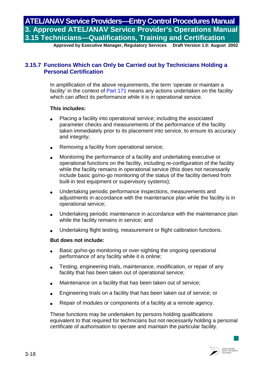**Approved by Executive Manager, Regulatory Services Draft Version 1.0: August 2002**

### **3.15.7 Functions Which can Only be Carried out by Technicians Holding a Personal Certification**

In amplification of the above requirements, the term 'operate or maintain a facility' in the context of [Part 171](#page-34-0) means any actions undertaken on the facility which can affect its performance while it is in operational service.

#### **This includes:**

- Placing a facility into operational service; including the associated parameter checks and measurements of the performance of the facility taken immediately prior to its placement into service, to ensure its accuracy and integrity;
- Removing a facility from operational service;
- Monitoring the performance of a facility and undertaking executive or operational functions on the facility, including re-configuration of the facility while the facility remains in operational service (this does not necessarily include basic go/no-go monitoring of the status of the facility derived from built-in test equipment or supervisory systems);
- Undertaking periodic performance inspections, measurements and adjustments in accordance with the maintenance plan while the facility is in operational service;
- Undertaking periodic maintenance in accordance with the maintenance plan while the facility remains in service; and
- Undertaking flight testing, measurement or flight calibration functions.

#### **But does not include:**

- Basic go/no-go monitoring or over-sighting the ongoing operational performance of any facility while it is online;
- Testing, engineering trials, maintenance, modification, or repair of any facility that has been taken out of operational service;
- Maintenance on a facility that has been taken out of service;
- Engineering trials on a facility that has been taken out of service; or
- Repair of modules or components of a facility at a remote agency.

These functions may be undertaken by persons holding qualifications equivalent to that required for technicians but not necessarily holding a personal certificate of authorisation to operate and maintain the particular facility.



■

3-18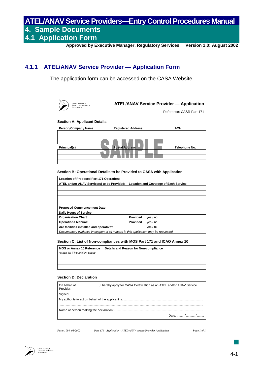**4.1 Application Form**

**Approved by Executive Manager, Regulatory Services Version 1.0: August 2002**

### **4.1.1 ATEL/ANAV Service Provider — Application Form**

The application form can be accessed on the CASA Website.



**ATEL/ANAV Service Provider — Application**

Reference: CASR Part 171

#### **Section A: Applicant Details**

| <b>Person/Company Name</b> | <b>Registered Address</b> | <b>ACN</b>    |
|----------------------------|---------------------------|---------------|
|                            |                           |               |
|                            |                           |               |
|                            |                           |               |
| Principal(s)               | <b>Postal Address</b>     | Telephone No. |
|                            |                           |               |
|                            |                           |               |
|                            |                           |               |

#### **Section B: Operational Details to be Provided to CASA with Application**

| Location of Proposed Part 171 Operation:                                                     |          |          |
|----------------------------------------------------------------------------------------------|----------|----------|
| ATEL and/or ANAV Service(s) to be Provided:<br><b>Location and Coverage of Each Service:</b> |          |          |
|                                                                                              |          |          |
|                                                                                              |          |          |
|                                                                                              |          |          |
|                                                                                              |          |          |
| <b>Proposed Commencement Date:</b>                                                           |          |          |
| Daily Hours of Service:                                                                      |          |          |
| <b>Organisation Chart:</b>                                                                   | Provided | ves / no |
| <b>Operations Manual:</b>                                                                    | Provided | ves / no |
| Are facilities installed and operative?                                                      |          | ves / no |
| Documentary evidence in support of all matters in this application may be requested          |          |          |

**Section C: List of Non-compliances with MOS Part 171 and ICAO Annex 10**

| <b>MOS or Annex 10 Reference</b><br>Attach list if insufficient space | Details and Reason for Non-compliance |
|-----------------------------------------------------------------------|---------------------------------------|
|                                                                       |                                       |
|                                                                       |                                       |
|                                                                       |                                       |

#### **Section D: Declaration**

| Provider. |             |  |  |  |  |  |
|-----------|-------------|--|--|--|--|--|
|           |             |  |  |  |  |  |
|           |             |  |  |  |  |  |
|           |             |  |  |  |  |  |
|           |             |  |  |  |  |  |
|           | Date:  /  / |  |  |  |  |  |
|           |             |  |  |  |  |  |

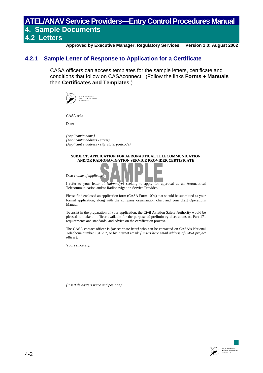**4.2 Letters**

**Approved by Executive Manager, Regulatory Services Version 1.0: August 2002**

### **4.2.1 Sample Letter of Response to Application for a Certificate**

CASA officers can access templates for the sample letters, certificate and conditions that follow on CASAconnect. (Follow the links **Forms + Manuals** then **Certificates and Templates**.)



CASA ref.:

Date:

*{Applicant's name} {Applicant's address - street} {Applicant's address - city, state, postcode}*

**SUBJECT: APPLICATION FOR AERONAUTICAL TELECOMMUNICATION AND/OR RADIONAVIGATION SERVICE PROVIDER CERTIFICATE**



I refer to your letter of *{dd/mm/yy}* seeking to apply for approval as an Aeronautical Telecommunication and/or Radionavigation Service Provider.

Please find enclosed an application form (CASA Form 1094) that should be submitted as your formal application, along with the company organisation chart and your draft Operations Manual.

To assist in the preparation of your application, the Civil Aviation Safety Authority would be pleased to make an officer available for the purpose of preliminary discussions on Part 171 requirements and standards, and advice on the certification process.

The CASA contact officer is *{insert name here}* who can be contacted on CASA's National Telephone number 131 757, or by internet email: *{ insert here email address of CASA project officer}*.

Yours sincerely,

*{insert delegate's name and position}*

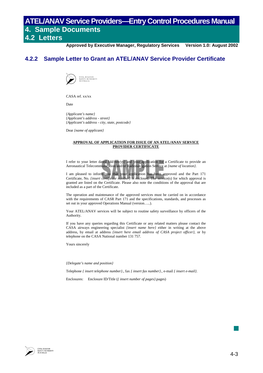### **4.2 Letters**

**Approved by Executive Manager, Regulatory Services Version 1.0: August 2002**

#### **4.2.2 Sample Letter to Grant an ATEL/ANAV Service Provider Certificate**



CASA ref. xx/xx

Date

*{Applicant's name} {Applicant's address - street} {Applicant's address - city, state, postcode}*

Dear *{name of applicant}*

#### **APPROVAL OF APPLICATION FOR ISSUE OF AN ATEL/ANAV SERVICE PROVIDER CERTIFICATE**

I refer to your letter dated *{dd/mm/yy}* and your application for a Certificate to provide an Aeronautical Telecommunication and/or Radionavigation Service at *{name of location}*.

I am pleased to inform you that your application has been approved and the Part 171 Certificate, No. *{insert certificate number}* is enclosed. The service(s) for which approval is granted are listed on the Certificate. Please also note the conditions of the approval that are included as a part of the Certificate.

The operation and maintenance of the approved services must be carried on in accordance with the requirements of CASR Part 171 and the specifications, standards, and processes as set out in your approved Operations Manual (version…..).

Your ATEL/ANAV services will be subject to routine safety surveillance by officers of the Authority.

If you have any queries regarding this Certificate or any related matters please contact the CASA airways engineering specialist *{insert name here}* either in writing at the above address, by email at address *{insert here email address of CASA project officer}*, or by telephone on the CASA National number 131 757.

Yours sincerely

*{Delegate's name and position}*

Telephone *{ insert telephone number}*., fax *{ insert fax number}*., e-mail *{ insert e-mail}*.

Enclosures: Enclosure ID/Title (*{ insert number of pages}*.pages)

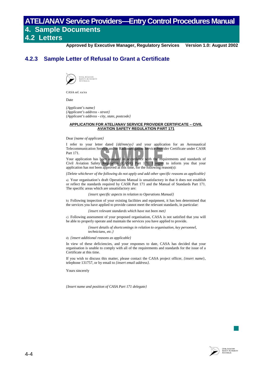**4.2 Letters**

**Approved by Executive Manager, Regulatory Services Version 1.0: August 2002**

### **4.2.3 Sample Letter of Refusal to Grant a Certificate**



CASA ref. xx/xx

Date

*{Applicant's name} {Applicant's address - street} {Applicant's address - city, state, postcode}*

#### **APPLICATION FOR ATEL/ANAV SERVICE PROVIDER CERTIFICATE – CIVIL AVIATION SAFETY REGULATION PART 171**

#### Dear *{name of applicant}*

I refer to your letter dated *{dd/mm/yy}* and your application for an Aeronautical Telecommunication Service and/or Radionavigation Service Provider Certificate under CASR Part 171.

Your application has been assessed in accordance with the requirements and standards of Civil Aviation Safety Regulation (CASR) Part 171. I regret to inform you that your application has not been approved at this time, for the following reason(s):

*{Delete whichever of the following do not apply and add other specific reasons as applicable}*

a) Your organisation's draft Operations Manual is unsatisfactory in that it does not establish or reflect the standards required by CASR Part 171 and the Manual of Standards Part 171. The specific areas which are unsatisfactory are:

*{insert specific aspects in relation to Operations Manual}*

b) Following inspection of your existing facilities and equipment, it has ben determined that the services you have applied to provide cannot meet the relevant standards, in particular:

*{insert relevant standards which have not been met}*

c) Following assessment of your proposed organisation, CASA is not satisfied that you will be able to properly operate and maintain the services you have applied to provide.

> *{insert details of shortcomings in relation to organisation, key personnel, technicians, etc.}*

d) *{insert additional reasons as applicable}*

In view of these deficiencies, and your responses to date, CASA has decided that your organisation is unable to comply with all of the requirements and standards for the issue of a Certificate at this time.

If you wish to discuss this matter, please contact the CASA project officer, *{insert name*}, telephone 131757, or by email to *{insert email address}*.

Yours sincerely

*{Insert name and position of CASA Part 171 delegate}*

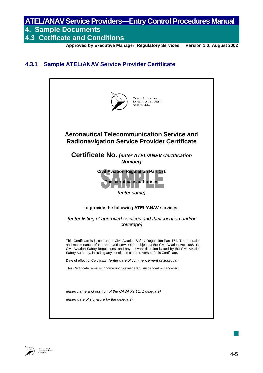**4.3 Cetificate and Conditions**

**Approved by Executive Manager, Regulatory Services Version 1.0: August 2002**

### **4.3.1 Sample ATEL/ANAV Service Provider Certificate**



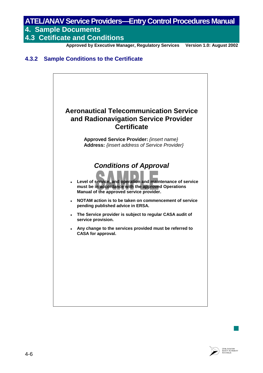### **4.3 Cetificate and Conditions**

**Approved by Executive Manager, Regulatory Services Version 1.0: August 2002**

### **4.3.2 Sample Conditions to the Certificate**



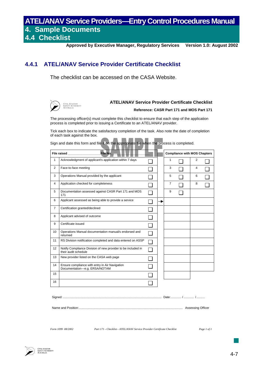**Approved by Executive Manager, Regulatory Services Version 1.0: August 2002**

### **4.4.1 ATEL/ANAV Service Provider Certificate Checklist**

The checklist can be accessed on the CASA Website.



#### **ATEL/ANAV Service Provider Certificate Checklist**

**Reference: CASR Part 171 and MOS Part 171**

The processing officer(s) must complete this checklist to ensure that each step of the application process is completed prior to issuing a Certificate to an ATEL/ANAV provider.

Tick each box to indicate the satisfactory completion of the task. Also note the date of completion of each task against the box.

Sign and date this form and file it on the appropriate file when the process is completed.

|                | File No.<br><b>File raised</b>                                                       |     |   | <b>Compliance with MOS Chapters</b> |   |  |
|----------------|--------------------------------------------------------------------------------------|-----|---|-------------------------------------|---|--|
| 1              | Acknowledgment of applicant's application within 7 days                              |     | 1 |                                     | 2 |  |
| 2              | Face-to-face meeting                                                                 |     | 3 |                                     | 4 |  |
| 3              | Operations Manual provided by the applicant                                          |     | 5 |                                     | 6 |  |
| 4              | Application checked for completeness                                                 |     | 7 |                                     | 8 |  |
| 5              | Documentation assessed against CASR Part 171 and MOS<br>171                          |     | 9 |                                     |   |  |
| 6              | Applicant assessed as being able to provide a service                                |     |   |                                     |   |  |
| $\overline{7}$ | Certification granted/declined                                                       |     |   |                                     |   |  |
| 8              | Applicant advised of outcome                                                         |     |   |                                     |   |  |
| 9              | Certificate issued                                                                   |     |   |                                     |   |  |
| 10             | Operations Manual documentation manual/s endorsed and<br>returned                    |     |   |                                     |   |  |
| 11             | RS Division notification completed and data entered on ASSP                          | ∣ 1 |   |                                     |   |  |
| 12             | Notify Compliance Division of new provider to be included in<br>their audit schedule | n   |   |                                     |   |  |
| 13             | New provider listed on the CASA web page                                             |     |   |                                     |   |  |
| 14             | Ensure compliance with entry in Air Navigation<br>Documentation-e.g. ERSA/NOTAM      |     |   |                                     |   |  |
| 15             |                                                                                      |     |   |                                     |   |  |
| 16             |                                                                                      |     |   |                                     |   |  |

Signed: .................................................................................................................... Date:............ / ............ /..........

Name and Position:.......................................................................................................................... Assessing Officer

*Form 1099 08/2002 Part 171 - Checklist - ATEL/ANAV Service Provider Certificate Checklist Page 1 of 1*

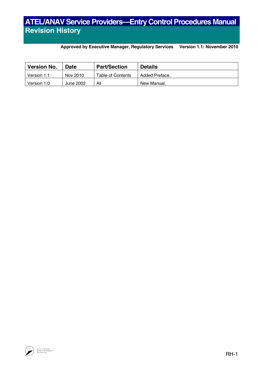# **ATEL/ANAV Service Providers—Entry Control Procedures Manual Revision History**

**Approved by Executive Manager, Regulatory Services Version 1.1: November 2010** 

| <b>Version No.</b> | <b>Date</b> | <b>Part/Section</b>      | <b>Details</b> |
|--------------------|-------------|--------------------------|----------------|
| Version 1.1        | Nov 2010    | <b>Table of Contents</b> | Added Preface. |
| Version 1.0        | June 2002   | All                      | New Manual.    |